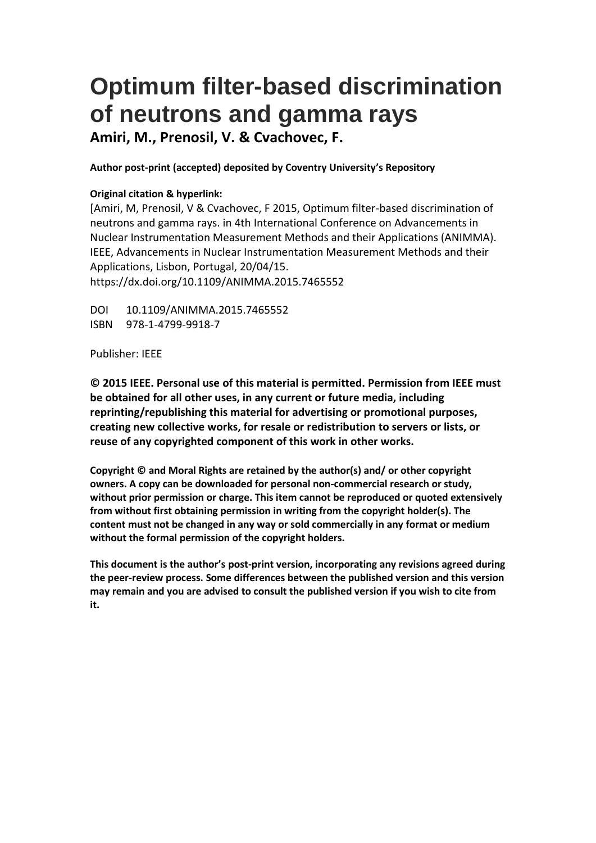# **Optimum filter-based discrimination of neutrons and gamma rays**

**Amiri, M., Prenosil, V. & Cvachovec, F.**

**Author post-print (accepted) deposited by Coventry University's Repository**

### **Original citation & hyperlink:**

[Amiri, M, Prenosil, V & Cvachovec, F 2015, Optimum filter-based discrimination of neutrons and gamma rays. in 4th International Conference on Advancements in Nuclear Instrumentation Measurement Methods and their Applications (ANIMMA). IEEE, Advancements in Nuclear Instrumentation Measurement Methods and their Applications, Lisbon, Portugal, 20/04/15. https://dx.doi.org/10.1109/ANIMMA.2015.7465552

DOI 10.1109/ANIMMA.2015.7465552 ISBN 978-1-4799-9918-7

Publisher: IEEE

**© 2015 IEEE. Personal use of this material is permitted. Permission from IEEE must be obtained for all other uses, in any current or future media, including reprinting/republishing this material for advertising or promotional purposes, creating new collective works, for resale or redistribution to servers or lists, or reuse of any copyrighted component of this work in other works.**

**Copyright © and Moral Rights are retained by the author(s) and/ or other copyright owners. A copy can be downloaded for personal non-commercial research or study, without prior permission or charge. This item cannot be reproduced or quoted extensively from without first obtaining permission in writing from the copyright holder(s). The content must not be changed in any way or sold commercially in any format or medium without the formal permission of the copyright holders.** 

**This document is the author's post-print version, incorporating any revisions agreed during the peer-review process. Some differences between the published version and this version may remain and you are advised to consult the published version if you wish to cite from it.**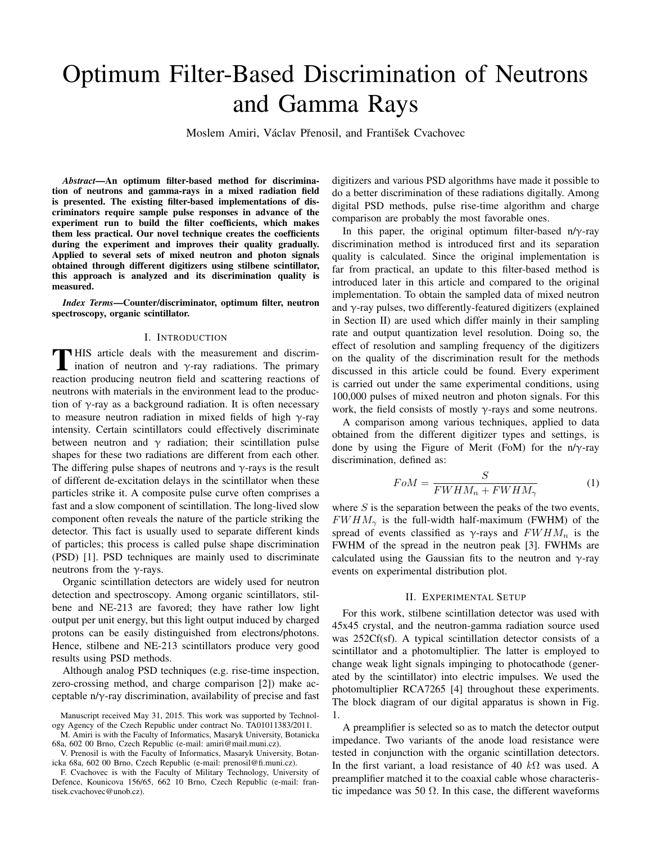## Optimum Filter-Based Discrimination of Neutrons and Gamma Rays

Moslem Amiri, Václav Přenosil, and František Cvachovec

*Abstract*—An optimum filter-based method for discrimination of neutrons and gamma-rays in a mixed radiation field is presented. The existing filter-based implementations of discriminators require sample pulse responses in advance of the experiment run to build the filter coefficients, which makes them less practical. Our novel technique creates the coefficients during the experiment and improves their quality gradually. Applied to several sets of mixed neutron and photon signals obtained through different digitizers using stilbene scintillator, this approach is analyzed and its discrimination quality is measured.

*Index Terms*—Counter/discriminator, optimum filter, neutron spectroscopy, organic scintillator.

#### I. INTRODUCTION

THIS article deals with the measurement and discrimination of neutron and  $\gamma$ -ray radiations. The primary ination of neutron and  $\gamma$ -ray radiations. The primary reaction producing neutron field and scattering reactions of neutrons with materials in the environment lead to the production of  $\gamma$ -ray as a background radiation. It is often necessary to measure neutron radiation in mixed fields of high  $\gamma$ -ray intensity. Certain scintillators could effectively discriminate between neutron and  $\gamma$  radiation; their scintillation pulse shapes for these two radiations are different from each other. The differing pulse shapes of neutrons and  $\gamma$ -rays is the result of different de-excitation delays in the scintillator when these particles strike it. A composite pulse curve often comprises a fast and a slow component of scintillation. The long-lived slow component often reveals the nature of the particle striking the detector. This fact is usually used to separate different kinds of particles; this process is called pulse shape discrimination (PSD) [1]. PSD techniques are mainly used to discriminate neutrons from the  $\gamma$ -rays.

Organic scintillation detectors are widely used for neutron detection and spectroscopy. Among organic scintillators, stilbene and NE-213 are favored; they have rather low light output per unit energy, but this light output induced by charged protons can be easily distinguished from electrons/photons. Hence, stilbene and NE-213 scintillators produce very good results using PSD methods.

Although analog PSD techniques (e.g. rise-time inspection, zero-crossing method, and charge comparison [2]) make acceptable n/γ-ray discrimination, availability of precise and fast

M. Amiri is with the Faculty of Informatics, Masaryk University, Botanicka 68a, 602 00 Brno, Czech Republic (e-mail: amiri@mail.muni.cz).

digitizers and various PSD algorithms have made it possible to do a better discrimination of these radiations digitally. Among digital PSD methods, pulse rise-time algorithm and charge comparison are probably the most favorable ones.

In this paper, the original optimum filter-based n/ $\gamma$ -ray discrimination method is introduced first and its separation quality is calculated. Since the original implementation is far from practical, an update to this filter-based method is introduced later in this article and compared to the original implementation. To obtain the sampled data of mixed neutron and  $\gamma$ -ray pulses, two differently-featured digitizers (explained in Section II) are used which differ mainly in their sampling rate and output quantization level resolution. Doing so, the effect of resolution and sampling frequency of the digitizers on the quality of the discrimination result for the methods discussed in this article could be found. Every experiment is carried out under the same experimental conditions, using 100,000 pulses of mixed neutron and photon signals. For this work, the field consists of mostly  $\gamma$ -rays and some neutrons.

A comparison among various techniques, applied to data obtained from the different digitizer types and settings, is done by using the Figure of Merit (FoM) for the n/ $\gamma$ -ray discrimination, defined as:

$$
FoM = \frac{S}{FWHM_n + FWHM_\gamma} \tag{1}
$$

where  $S$  is the separation between the peaks of the two events,  $FWHM_{\gamma}$  is the full-width half-maximum (FWHM) of the spread of events classified as  $\gamma$ -rays and  $FWHM_n$  is the FWHM of the spread in the neutron peak [3]. FWHMs are calculated using the Gaussian fits to the neutron and  $\gamma$ -ray events on experimental distribution plot.

#### II. EXPERIMENTAL SETUP

For this work, stilbene scintillation detector was used with 45x45 crystal, and the neutron-gamma radiation source used was 252Cf(sf). A typical scintillation detector consists of a scintillator and a photomultiplier. The latter is employed to change weak light signals impinging to photocathode (generated by the scintillator) into electric impulses. We used the photomultiplier RCA7265 [4] throughout these experiments. The block diagram of our digital apparatus is shown in Fig. 1.

A preamplifier is selected so as to match the detector output impedance. Two variants of the anode load resistance were tested in conjunction with the organic scintillation detectors. In the first variant, a load resistance of 40  $k\Omega$  was used. A preamplifier matched it to the coaxial cable whose characteristic impedance was 50  $\Omega$ . In this case, the different waveforms

Manuscript received May 31, 2015. This work was supported by Technology Agency of the Czech Republic under contract No. TA01011383/2011.

V. Prenosil is with the Faculty of Informatics, Masaryk University, Botanicka 68a, 602 00 Brno, Czech Republic (e-mail: prenosil@fi.muni.cz).

F. Cvachovec is with the Faculty of Military Technology, University of Defence, Kounicova 156/65, 662 10 Brno, Czech Republic (e-mail: frantisek.cvachovec@unob.cz).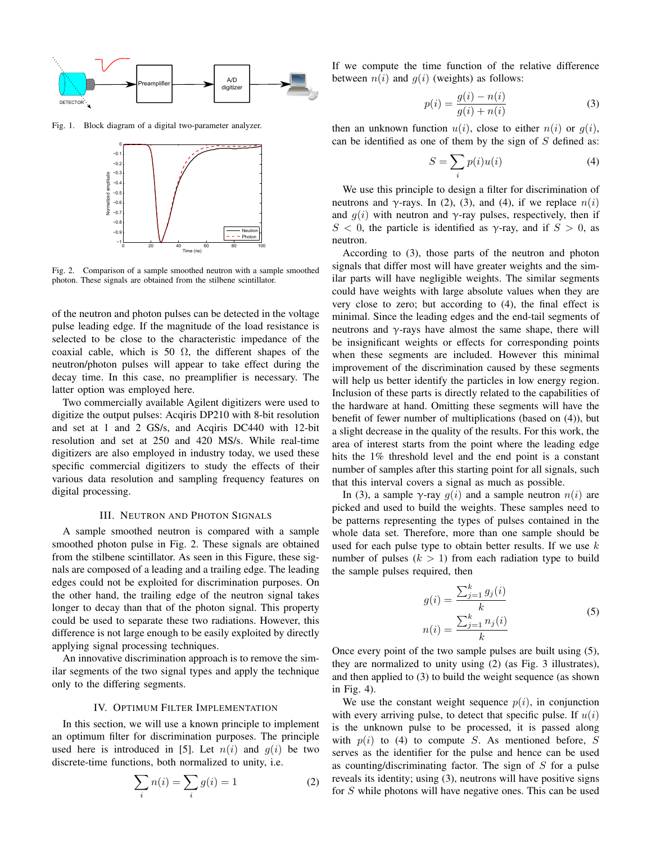

Fig. 1. Block diagram of a digital two-parameter analyzer.



Fig. 2. Comparison of a sample smoothed neutron with a sample smoothed photon. These signals are obtained from the stilbene scintillator.

of the neutron and photon pulses can be detected in the voltage pulse leading edge. If the magnitude of the load resistance is selected to be close to the characteristic impedance of the coaxial cable, which is 50  $\Omega$ , the different shapes of the neutron/photon pulses will appear to take effect during the decay time. In this case, no preamplifier is necessary. The latter option was employed here.

Two commercially available Agilent digitizers were used to digitize the output pulses: Acqiris DP210 with 8-bit resolution and set at 1 and 2 GS/s, and Acqiris DC440 with 12-bit resolution and set at 250 and 420 MS/s. While real-time digitizers are also employed in industry today, we used these specific commercial digitizers to study the effects of their various data resolution and sampling frequency features on digital processing.

#### III. NEUTRON AND PHOTON SIGNALS

A sample smoothed neutron is compared with a sample smoothed photon pulse in Fig. 2. These signals are obtained from the stilbene scintillator. As seen in this Figure, these signals are composed of a leading and a trailing edge. The leading edges could not be exploited for discrimination purposes. On the other hand, the trailing edge of the neutron signal takes longer to decay than that of the photon signal. This property could be used to separate these two radiations. However, this difference is not large enough to be easily exploited by directly applying signal processing techniques.

An innovative discrimination approach is to remove the similar segments of the two signal types and apply the technique only to the differing segments.

#### IV. OPTIMUM FILTER IMPLEMENTATION

In this section, we will use a known principle to implement an optimum filter for discrimination purposes. The principle used here is introduced in [5]. Let  $n(i)$  and  $q(i)$  be two discrete-time functions, both normalized to unity, i.e.

$$
\sum_{i} n(i) = \sum_{i} g(i) = 1
$$
\n(2)

If we compute the time function of the relative difference between  $n(i)$  and  $q(i)$  (weights) as follows:

$$
p(i) = \frac{g(i) - n(i)}{g(i) + n(i)}
$$
(3)

then an unknown function  $u(i)$ , close to either  $n(i)$  or  $g(i)$ , can be identified as one of them by the sign of  $S$  defined as:

$$
S = \sum_{i} p(i)u(i) \tag{4}
$$

We use this principle to design a filter for discrimination of neutrons and γ-rays. In (2), (3), and (4), if we replace  $n(i)$ and  $g(i)$  with neutron and  $\gamma$ -ray pulses, respectively, then if S < 0, the particle is identified as  $\gamma$ -ray, and if  $S > 0$ , as neutron.

According to (3), those parts of the neutron and photon signals that differ most will have greater weights and the similar parts will have negligible weights. The similar segments could have weights with large absolute values when they are very close to zero; but according to (4), the final effect is minimal. Since the leading edges and the end-tail segments of neutrons and  $\gamma$ -rays have almost the same shape, there will be insignificant weights or effects for corresponding points when these segments are included. However this minimal improvement of the discrimination caused by these segments will help us better identify the particles in low energy region. Inclusion of these parts is directly related to the capabilities of the hardware at hand. Omitting these segments will have the benefit of fewer number of multiplications (based on (4)), but a slight decrease in the quality of the results. For this work, the area of interest starts from the point where the leading edge hits the 1% threshold level and the end point is a constant number of samples after this starting point for all signals, such that this interval covers a signal as much as possible.

In (3), a sample  $\gamma$ -ray  $g(i)$  and a sample neutron  $n(i)$  are picked and used to build the weights. These samples need to be patterns representing the types of pulses contained in the whole data set. Therefore, more than one sample should be used for each pulse type to obtain better results. If we use  $k$ number of pulses  $(k > 1)$  from each radiation type to build the sample pulses required, then

$$
g(i) = \frac{\sum_{j=1}^{k} g_j(i)}{k}
$$
  

$$
n(i) = \frac{\sum_{j=1}^{k} n_j(i)}{k}
$$
 (5)

Once every point of the two sample pulses are built using (5), they are normalized to unity using (2) (as Fig. 3 illustrates), and then applied to (3) to build the weight sequence (as shown in Fig. 4).

We use the constant weight sequence  $p(i)$ , in conjunction with every arriving pulse, to detect that specific pulse. If  $u(i)$ is the unknown pulse to be processed, it is passed along with  $p(i)$  to (4) to compute S. As mentioned before, S serves as the identifier for the pulse and hence can be used as counting/discriminating factor. The sign of  $S$  for a pulse reveals its identity; using (3), neutrons will have positive signs for S while photons will have negative ones. This can be used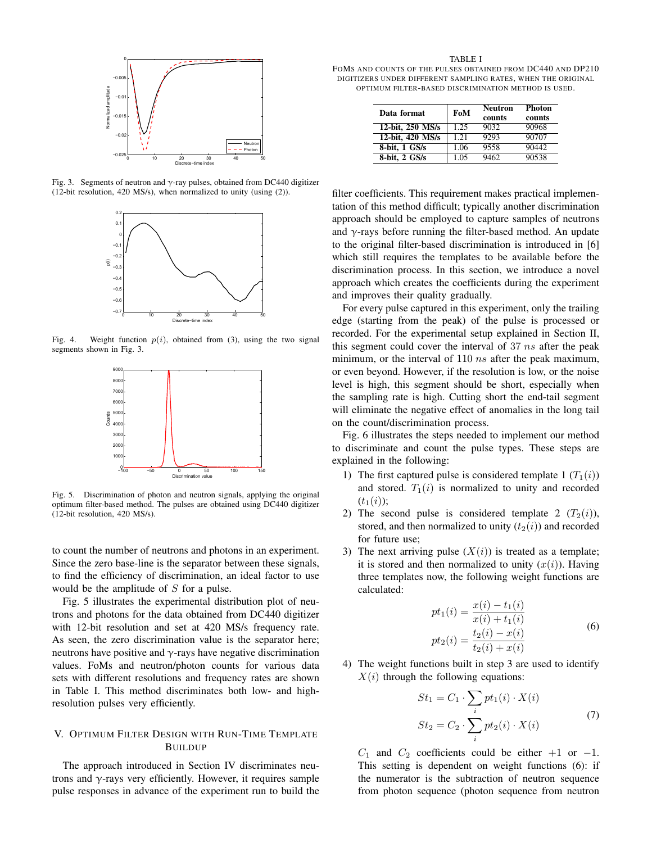

Fig. 3. Segments of neutron and γ-ray pulses, obtained from DC440 digitizer (12-bit resolution, 420 MS/s), when normalized to unity (using (2)).



Fig. 4. Weight function  $p(i)$ , obtained from (3), using the two signal segments shown in Fig. 3.



Fig. 5. Discrimination of photon and neutron signals, applying the original optimum filter-based method. The pulses are obtained using DC440 digitizer (12-bit resolution, 420 MS/s).

to count the number of neutrons and photons in an experiment. Since the zero base-line is the separator between these signals, to find the efficiency of discrimination, an ideal factor to use would be the amplitude of S for a pulse.

Fig. 5 illustrates the experimental distribution plot of neutrons and photons for the data obtained from DC440 digitizer with 12-bit resolution and set at 420 MS/s frequency rate. As seen, the zero discrimination value is the separator here; neutrons have positive and  $\gamma$ -rays have negative discrimination values. FoMs and neutron/photon counts for various data sets with different resolutions and frequency rates are shown in Table I. This method discriminates both low- and highresolution pulses very efficiently.

#### V. OPTIMUM FILTER DESIGN WITH RUN-TIME TEMPLATE BUILDUP

The approach introduced in Section IV discriminates neutrons and  $\gamma$ -rays very efficiently. However, it requires sample pulse responses in advance of the experiment run to build the

TABLE I

FOMS AND COUNTS OF THE PULSES OBTAINED FROM DC440 AND DP210 DIGITIZERS UNDER DIFFERENT SAMPLING RATES, WHEN THE ORIGINAL OPTIMUM FILTER-BASED DISCRIMINATION METHOD IS USED.

| Data format      | FoM  | <b>Neutron</b><br>counts | <b>Photon</b><br>counts |
|------------------|------|--------------------------|-------------------------|
| 12-bit, 250 MS/s | 1.25 | 9032                     | 90968                   |
| 12-bit, 420 MS/s | 1.21 | 9293                     | 90707                   |
| 8-bit, 1 GS/s    | 1.06 | 9558                     | 90442                   |
| 8-bit, 2 GS/s    | 1.05 | 9462                     | 90538                   |

filter coefficients. This requirement makes practical implementation of this method difficult; typically another discrimination approach should be employed to capture samples of neutrons and  $\gamma$ -rays before running the filter-based method. An update to the original filter-based discrimination is introduced in [6] which still requires the templates to be available before the discrimination process. In this section, we introduce a novel approach which creates the coefficients during the experiment and improves their quality gradually.

For every pulse captured in this experiment, only the trailing edge (starting from the peak) of the pulse is processed or recorded. For the experimental setup explained in Section II, this segment could cover the interval of  $37 \text{ ns}$  after the peak minimum, or the interval of  $110$  ns after the peak maximum, or even beyond. However, if the resolution is low, or the noise level is high, this segment should be short, especially when the sampling rate is high. Cutting short the end-tail segment will eliminate the negative effect of anomalies in the long tail on the count/discrimination process.

Fig. 6 illustrates the steps needed to implement our method to discriminate and count the pulse types. These steps are explained in the following:

- 1) The first captured pulse is considered template 1  $(T_1(i))$ and stored.  $T_1(i)$  is normalized to unity and recorded  $(t_1(i));$
- 2) The second pulse is considered template 2  $(T_2(i))$ , stored, and then normalized to unity  $(t_2(i))$  and recorded for future use;
- 3) The next arriving pulse  $(X(i))$  is treated as a template; it is stored and then normalized to unity  $(x(i))$ . Having three templates now, the following weight functions are calculated:

$$
pt_1(i) = \frac{x(i) - t_1(i)}{x(i) + t_1(i)}
$$
  
\n
$$
pt_2(i) = \frac{t_2(i) - x(i)}{t_2(i) + x(i)}
$$
\n(6)

4) The weight functions built in step 3 are used to identify  $X(i)$  through the following equations:

$$
St_1 = C_1 \cdot \sum_i pt_1(i) \cdot X(i)
$$
  
\n
$$
St_2 = C_2 \cdot \sum_i pt_2(i) \cdot X(i)
$$
 (7)

 $C_1$  and  $C_2$  coefficients could be either +1 or −1. This setting is dependent on weight functions (6): if the numerator is the subtraction of neutron sequence from photon sequence (photon sequence from neutron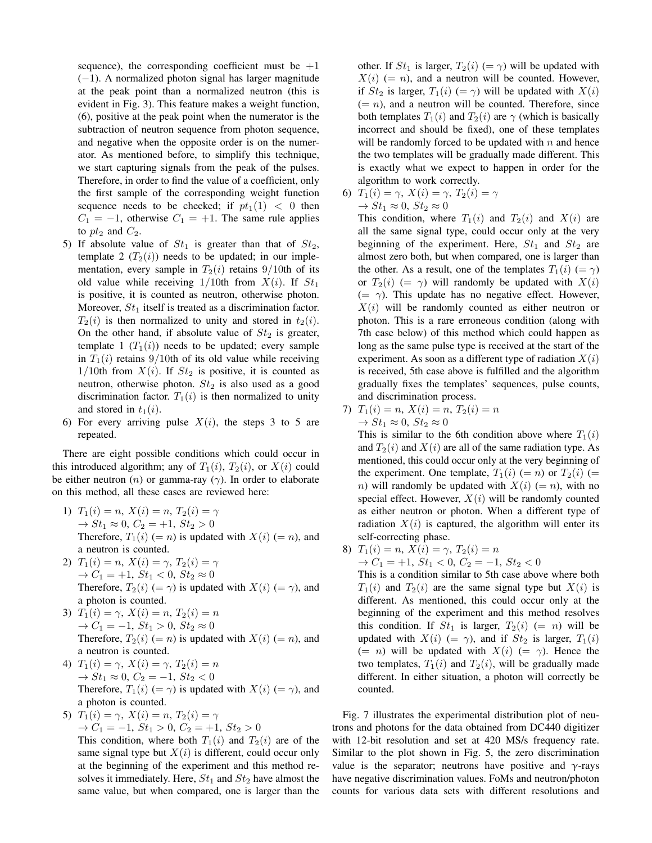sequence), the corresponding coefficient must be  $+1$ (−1). A normalized photon signal has larger magnitude at the peak point than a normalized neutron (this is evident in Fig. 3). This feature makes a weight function, (6), positive at the peak point when the numerator is the subtraction of neutron sequence from photon sequence, and negative when the opposite order is on the numerator. As mentioned before, to simplify this technique, we start capturing signals from the peak of the pulses. Therefore, in order to find the value of a coefficient, only the first sample of the corresponding weight function sequence needs to be checked; if  $pt_1(1) < 0$  then  $C_1 = -1$ , otherwise  $C_1 = +1$ . The same rule applies to  $pt_2$  and  $C_2$ .

- 5) If absolute value of  $St_1$  is greater than that of  $St_2$ , template 2  $(T_2(i))$  needs to be updated; in our implementation, every sample in  $T_2(i)$  retains 9/10th of its old value while receiving  $1/10$ th from  $X(i)$ . If  $St_1$ is positive, it is counted as neutron, otherwise photon. Moreover,  $St_1$  itself is treated as a discrimination factor.  $T_2(i)$  is then normalized to unity and stored in  $t_2(i)$ . On the other hand, if absolute value of  $St_2$  is greater, template 1  $(T_1(i))$  needs to be updated; every sample in  $T_1(i)$  retains 9/10th of its old value while receiving 1/10th from  $X(i)$ . If  $St_2$  is positive, it is counted as neutron, otherwise photon.  $St_2$  is also used as a good discrimination factor.  $T_1(i)$  is then normalized to unity and stored in  $t_1(i)$ .
- 6) For every arriving pulse  $X(i)$ , the steps 3 to 5 are repeated.

There are eight possible conditions which could occur in this introduced algorithm; any of  $T_1(i)$ ,  $T_2(i)$ , or  $X(i)$  could be either neutron  $(n)$  or gamma-ray  $(\gamma)$ . In order to elaborate on this method, all these cases are reviewed here:

- 1)  $T_1(i) = n, X(i) = n, T_2(i) = \gamma$  $\to St_1 \approx 0, C_2 = +1, St_2 > 0$ Therefore,  $T_1(i) (= n)$  is updated with  $X(i) (= n)$ , and a neutron is counted.
- 2)  $T_1(i) = n, X(i) = \gamma, T_2(i) = \gamma$  $\to C_1 = +1, St_1 < 0, St_2 \approx 0$ Therefore,  $T_2(i) (= \gamma)$  is updated with  $X(i) (= \gamma)$ , and a photon is counted.
- 3)  $T_1(i) = \gamma$ ,  $X(i) = n$ ,  $T_2(i) = n$  $\to C_1 = -1, St_1 > 0, St_2 \approx 0$ Therefore,  $T_2(i) (= n)$  is updated with  $X(i) (= n)$ , and a neutron is counted.
- 4)  $T_1(i) = \gamma$ ,  $X(i) = \gamma$ ,  $T_2(i) = n$  $\to St_1 \approx 0, C_2 = -1, St_2 < 0$ Therefore,  $T_1(i) (= \gamma)$  is updated with  $X(i) (= \gamma)$ , and a photon is counted.
- 5)  $T_1(i) = \gamma$ ,  $X(i) = n$ ,  $T_2(i) = \gamma$  $\rightarrow C_1 = -1, St_1 > 0, C_2 = +1, St_2 > 0$

This condition, where both  $T_1(i)$  and  $T_2(i)$  are of the same signal type but  $X(i)$  is different, could occur only at the beginning of the experiment and this method resolves it immediately. Here,  $St_1$  and  $St_2$  have almost the same value, but when compared, one is larger than the other. If  $St_1$  is larger,  $T_2(i) (= \gamma)$  will be updated with  $X(i) (= n)$ , and a neutron will be counted. However, if  $St_2$  is larger,  $T_1(i) (= \gamma)$  will be updated with  $X(i)$  $(= n)$ , and a neutron will be counted. Therefore, since both templates  $T_1(i)$  and  $T_2(i)$  are  $\gamma$  (which is basically incorrect and should be fixed), one of these templates will be randomly forced to be updated with  $n$  and hence the two templates will be gradually made different. This is exactly what we expect to happen in order for the algorithm to work correctly.

6)  $T_1(i) = \gamma$ ,  $X(i) = \gamma$ ,  $T_2(i) = \gamma$  $\rightarrow St_1 \approx 0, St_2 \approx 0$ 

This condition, where  $T_1(i)$  and  $T_2(i)$  and  $X(i)$  are all the same signal type, could occur only at the very beginning of the experiment. Here,  $St_1$  and  $St_2$  are almost zero both, but when compared, one is larger than the other. As a result, one of the templates  $T_1(i) (= \gamma)$ or  $T_2(i) (= \gamma)$  will randomly be updated with  $X(i)$  $(=\gamma)$ . This update has no negative effect. However,  $X(i)$  will be randomly counted as either neutron or photon. This is a rare erroneous condition (along with 7th case below) of this method which could happen as long as the same pulse type is received at the start of the experiment. As soon as a different type of radiation  $X(i)$ is received, 5th case above is fulfilled and the algorithm gradually fixes the templates' sequences, pulse counts, and discrimination process.

7) 
$$
T_1(i) = n, X(i) = n, T_2(i) = n
$$

$$
\rightarrow St_1 \approx 0, St_2 \approx 0
$$

This is similar to the 6th condition above where  $T_1(i)$ and  $T_2(i)$  and  $X(i)$  are all of the same radiation type. As mentioned, this could occur only at the very beginning of the experiment. One template,  $T_1(i) (= n)$  or  $T_2(i) (=$ n) will randomly be updated with  $X(i) (= n)$ , with no special effect. However,  $X(i)$  will be randomly counted as either neutron or photon. When a different type of radiation  $X(i)$  is captured, the algorithm will enter its self-correcting phase.

8) 
$$
T_1(i) = n
$$
,  $X(i) = \gamma$ ,  $T_2(i) = n$   
\n $\rightarrow C_1 = +1$ ,  $St_1 < 0$ ,  $C_2 = -1$ ,  $St_2 < 0$ 

This is a condition similar to 5th case above where both  $T_1(i)$  and  $T_2(i)$  are the same signal type but  $X(i)$  is different. As mentioned, this could occur only at the beginning of the experiment and this method resolves this condition. If  $St_1$  is larger,  $T_2(i) (= n)$  will be updated with  $X(i) (= \gamma)$ , and if  $St_2$  is larger,  $T_1(i)$ (= n) will be updated with  $X(i)$  (=  $\gamma$ ). Hence the two templates,  $T_1(i)$  and  $T_2(i)$ , will be gradually made different. In either situation, a photon will correctly be counted.

Fig. 7 illustrates the experimental distribution plot of neutrons and photons for the data obtained from DC440 digitizer with 12-bit resolution and set at 420 MS/s frequency rate. Similar to the plot shown in Fig. 5, the zero discrimination value is the separator; neutrons have positive and  $\gamma$ -rays have negative discrimination values. FoMs and neutron/photon counts for various data sets with different resolutions and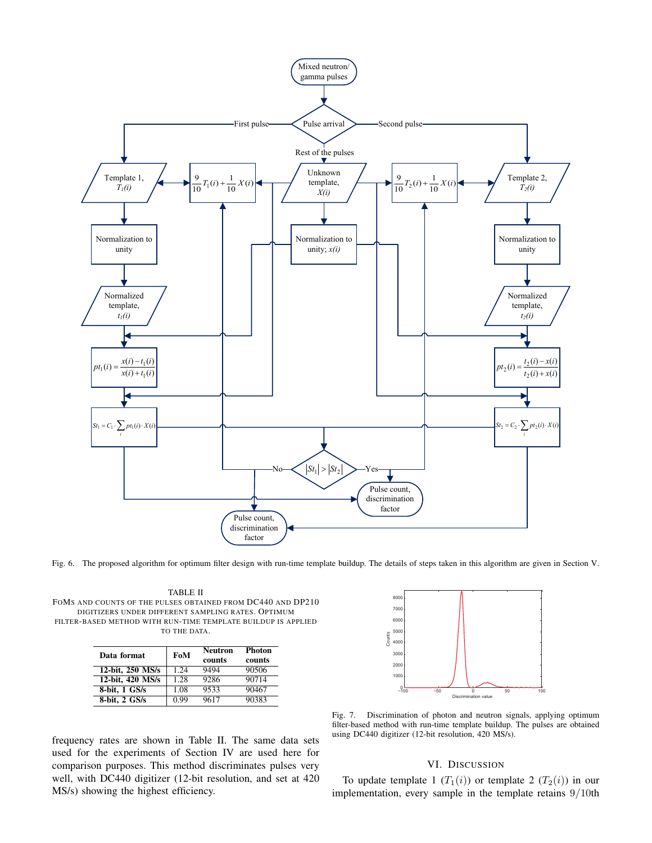

Fig. 6. The proposed algorithm for optimum filter design with run-time template buildup. The details of steps taken in this algorithm are given in Section V.

TABLE II FOMS AND COUNTS OF THE PULSES OBTAINED FROM DC440 AND DP210 DIGITIZERS UNDER DIFFERENT SAMPLING RATES. OPTIMUM FILTER-BASED METHOD WITH RUN-TIME TEMPLATE BUILDUP IS APPLIED TO THE DATA.

| Data format      | FoM  | Neutron<br>counts | <b>Photon</b><br>counts |
|------------------|------|-------------------|-------------------------|
| 12-bit, 250 MS/s | 1.24 | 9494              | 90506                   |
| 12-bit, 420 MS/s | 1.28 | 9286              | 90714                   |
| 8-bit, 1 GS/s    | 1.08 | 9533              | 90467                   |
| 8-bit, 2 GS/s    | 0.99 | 9617              | 90383                   |

−100 −50 0 50 100 0 1000  $200$  $300$  $400$ 5000 6000 7000 8000 Discrimination value Counts

Fig. 7. Discrimination of photon and neutron signals, applying optimum filter-based method with run-time template buildup. The pulses are obtained using DC440 digitizer (12-bit resolution, 420 MS/s).

#### VI. DISCUSSION

To update template 1  $(T_1(i))$  or template 2  $(T_2(i))$  in our implementation, every sample in the template retains 9/10th

frequency rates are shown in Table II. The same data sets used for the experiments of Section IV are used here for comparison purposes. This method discriminates pulses very well, with DC440 digitizer (12-bit resolution, and set at 420 MS/s) showing the highest efficiency.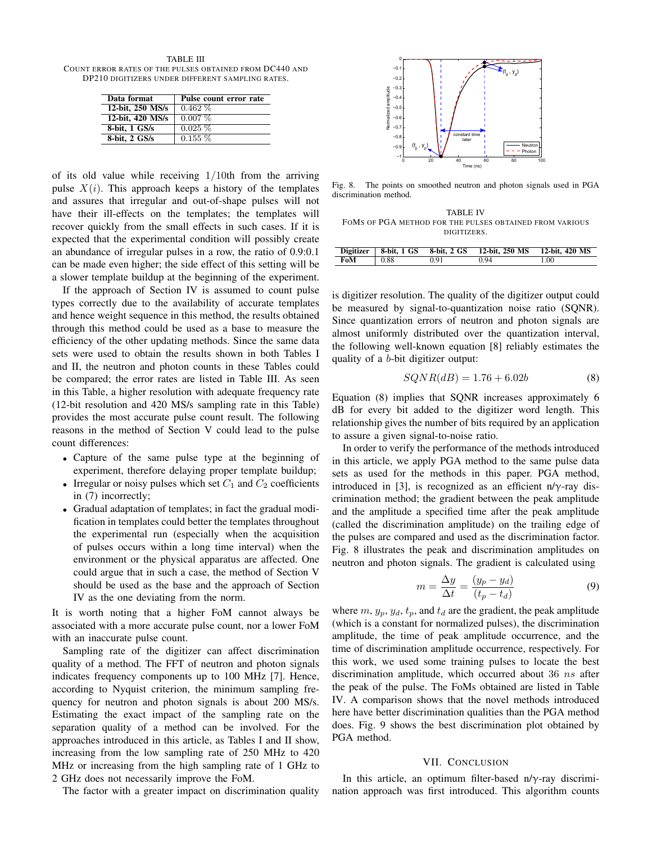TABLE III COUNT ERROR RATES OF THE PULSES OBTAINED FROM DC440 AND DP210 DIGITIZERS UNDER DIFFERENT SAMPLING RATES.

| Data format      | Pulse count error rate |
|------------------|------------------------|
| 12-bit, 250 MS/s | $0.462\%$              |
| 12-bit, 420 MS/s | $0.007\%$              |
| 8-bit, 1 GS/s    | $0.025\%$              |
| 8-bit, 2 GS/s    | $0.155\%$              |

of its old value while receiving  $1/10$ th from the arriving pulse  $X(i)$ . This approach keeps a history of the templates and assures that irregular and out-of-shape pulses will not have their ill-effects on the templates; the templates will recover quickly from the small effects in such cases. If it is expected that the experimental condition will possibly create an abundance of irregular pulses in a row, the ratio of 0.9:0.1 can be made even higher; the side effect of this setting will be a slower template buildup at the beginning of the experiment.

If the approach of Section IV is assumed to count pulse types correctly due to the availability of accurate templates and hence weight sequence in this method, the results obtained through this method could be used as a base to measure the efficiency of the other updating methods. Since the same data sets were used to obtain the results shown in both Tables I and II, the neutron and photon counts in these Tables could be compared; the error rates are listed in Table III. As seen in this Table, a higher resolution with adequate frequency rate (12-bit resolution and 420 MS/s sampling rate in this Table) provides the most accurate pulse count result. The following reasons in the method of Section V could lead to the pulse count differences:

- Capture of the same pulse type at the beginning of experiment, therefore delaying proper template buildup;
- Irregular or noisy pulses which set  $C_1$  and  $C_2$  coefficients in (7) incorrectly;
- Gradual adaptation of templates; in fact the gradual modification in templates could better the templates throughout the experimental run (especially when the acquisition of pulses occurs within a long time interval) when the environment or the physical apparatus are affected. One could argue that in such a case, the method of Section V should be used as the base and the approach of Section IV as the one deviating from the norm.

It is worth noting that a higher FoM cannot always be associated with a more accurate pulse count, nor a lower FoM with an inaccurate pulse count.

Sampling rate of the digitizer can affect discrimination quality of a method. The FFT of neutron and photon signals indicates frequency components up to 100 MHz [7]. Hence, according to Nyquist criterion, the minimum sampling frequency for neutron and photon signals is about 200 MS/s. Estimating the exact impact of the sampling rate on the separation quality of a method can be involved. For the approaches introduced in this article, as Tables I and II show, increasing from the low sampling rate of 250 MHz to 420 MHz or increasing from the high sampling rate of 1 GHz to 2 GHz does not necessarily improve the FoM.

The factor with a greater impact on discrimination quality



Fig. 8. The points on smoothed neutron and photon signals used in PGA discrimination method.

TABLE IV FOMS OF PGA METHOD FOR THE PULSES OBTAINED FROM VARIOUS DIGITIZERS.

|     |            |      | Digitizer   8-bit, 1 GS 8-bit, 2 GS 12-bit, 250 MS 12-bit, 420 MS |     |
|-----|------------|------|-------------------------------------------------------------------|-----|
| FoM | $\pm 0.88$ | 0.91 | 0.94                                                              | .00 |

is digitizer resolution. The quality of the digitizer output could be measured by signal-to-quantization noise ratio (SQNR). Since quantization errors of neutron and photon signals are almost uniformly distributed over the quantization interval, the following well-known equation [8] reliably estimates the quality of a b-bit digitizer output:

$$
SQNR(dB) = 1.76 + 6.02b \tag{8}
$$

Equation (8) implies that SQNR increases approximately 6 dB for every bit added to the digitizer word length. This relationship gives the number of bits required by an application to assure a given signal-to-noise ratio.

In order to verify the performance of the methods introduced in this article, we apply PGA method to the same pulse data sets as used for the methods in this paper. PGA method, introduced in [3], is recognized as an efficient n/ $\gamma$ -ray discrimination method; the gradient between the peak amplitude and the amplitude a specified time after the peak amplitude (called the discrimination amplitude) on the trailing edge of the pulses are compared and used as the discrimination factor. Fig. 8 illustrates the peak and discrimination amplitudes on neutron and photon signals. The gradient is calculated using

$$
m = \frac{\Delta y}{\Delta t} = \frac{(y_p - y_d)}{(t_p - t_d)}\tag{9}
$$

where  $m$ ,  $y_p$ ,  $y_d$ ,  $t_p$ , and  $t_d$  are the gradient, the peak amplitude (which is a constant for normalized pulses), the discrimination amplitude, the time of peak amplitude occurrence, and the time of discrimination amplitude occurrence, respectively. For this work, we used some training pulses to locate the best discrimination amplitude, which occurred about 36 ns after the peak of the pulse. The FoMs obtained are listed in Table IV. A comparison shows that the novel methods introduced here have better discrimination qualities than the PGA method does. Fig. 9 shows the best discrimination plot obtained by PGA method.

#### VII. CONCLUSION

In this article, an optimum filter-based n/ $\gamma$ -ray discrimination approach was first introduced. This algorithm counts